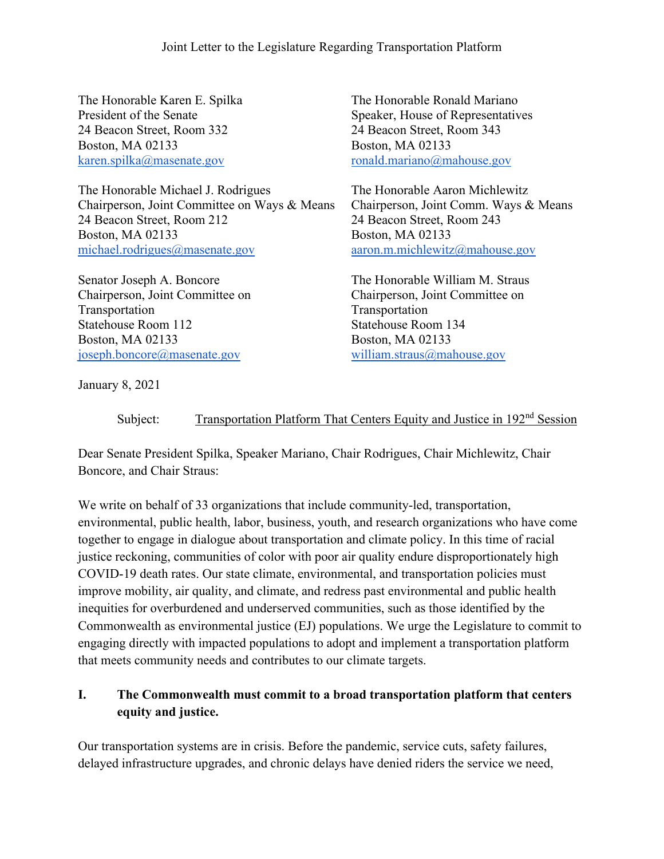24 Beacon Street, Room 332 24 Beacon Street, Room 343 Boston, MA 02133 Boston, MA 02133 [karen.spilka@masenate.gov](mailto:karen.spilka@masenate.gov) [ronald.mariano@mahouse.gov](mailto:ronald.mariano@mahouse.gov) 

The Honorable Michael J. Rodrigues The Honorable Aaron Michlewitz Chairperson, Joint Committee on Ways & Means Chairperson, Joint Comm. Ways & Means 24 Beacon Street, Room 212 24 Beacon Street, Room 243 Boston, MA 02133 Boston, MA 02133 [michael.rodrigues@masenate.gov](mailto:michael.rodrigues@masenate.gov) [aaron.m.michlewitz@mahouse.gov](mailto:aaron.michlewitz@mahouse.gov)

Senator Joseph A. Boncore Chairperson, Joint Committee on Transportation Statehouse Room 112 Boston, MA 02133 [joseph.boncore@masenate.gov](mailto:joseph.boncore@masenate.gov)

The Honorable Karen E. Spilka The Honorable Ronald Mariano President of the Senate Speaker, House of Representatives

The Honorable William M. Straus Chairperson, Joint Committee on Transportation Statehouse Room 134 Boston, MA 02133 [william.straus@mahouse.gov](mailto:william.straus@mahouse.gov)

January 8, 2021

Subject: Transportation Platform That Centers Equity and Justice in 192<sup>nd</sup> Session

Dear Senate President Spilka, Speaker Mariano, Chair Rodrigues, Chair Michlewitz, Chair Boncore, and Chair Straus:

We write on behalf of 33 organizations that include community-led, transportation, environmental, public health, labor, business, youth, and research organizations who have come together to engage in dialogue about transportation and climate policy. In this time of racial justice reckoning, communities of color with poor air quality endure disproportionately high COVID-19 death rates. Our state climate, environmental, and transportation policies must improve mobility, air quality, and climate, and redress past environmental and public health inequities for overburdened and underserved communities, such as those identified by the Commonwealth as environmental justice (EJ) populations. We urge the Legislature to commit to engaging directly with impacted populations to adopt and implement a transportation platform that meets community needs and contributes to our climate targets.

### **I. The Commonwealth must commit to a broad transportation platform that centers equity and justice.**

Our transportation systems are in crisis. Before the pandemic, service cuts, safety failures, delayed infrastructure upgrades, and chronic delays have denied riders the service we need,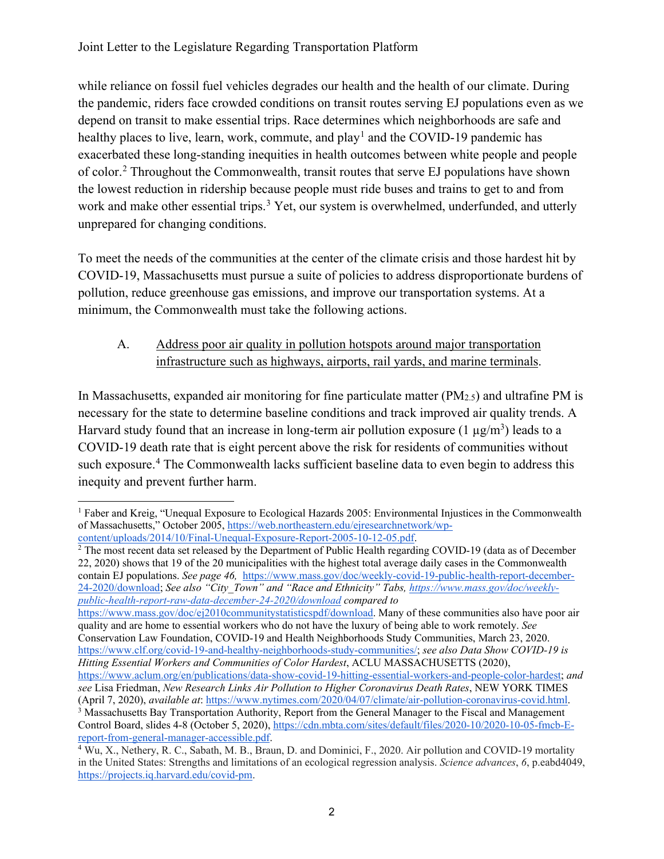while reliance on fossil fuel vehicles degrades our health and the health of our climate. During the pandemic, riders face crowded conditions on transit routes serving EJ populations even as we depend on transit to make essential trips. Race determines which neighborhoods are safe and healthy places to live, learn, work, commute, and play<sup>[1](#page-1-0)</sup> and the COVID-19 pandemic has exacerbated these long-standing inequities in health outcomes between white people and people of color.[2](#page-1-1) Throughout the Commonwealth, transit routes that serve EJ populations have shown the lowest reduction in ridership because people must ride buses and trains to get to and from work and make other essential trips.<sup>[3](#page-1-2)</sup> Yet, our system is overwhelmed, underfunded, and utterly unprepared for changing conditions.

To meet the needs of the communities at the center of the climate crisis and those hardest hit by COVID-19, Massachusetts must pursue a suite of policies to address disproportionate burdens of pollution, reduce greenhouse gas emissions, and improve our transportation systems. At a minimum, the Commonwealth must take the following actions.

### A. Address poor air quality in pollution hotspots around major transportation infrastructure such as highways, airports, rail yards, and marine terminals.

In Massachusetts, expanded air monitoring for fine particulate matter (PM2.5) and ultrafine PM is necessary for the state to determine baseline conditions and track improved air quality trends. A Harvard study found that an increase in long-term air pollution exposure (1  $\mu$ g/m<sup>3</sup>) leads to a COVID-19 death rate that is eight percent above the risk for residents of communities without such exposure.<sup>[4](#page-1-3)</sup> The Commonwealth lacks sufficient baseline data to even begin to address this inequity and prevent further harm.

<span id="page-1-1"></span><sup>2</sup> The most recent data set released by the Department of Public Health regarding COVID-19 (data as of December 22, 2020) shows that 19 of the 20 municipalities with the highest total average daily cases in the Commonwealth contain EJ populations. *See page 46,* [https://www.mass.gov/doc/weekly-covid-19-public-health-report-december-](https://www.mass.gov/doc/weekly-covid-19-public-health-report-december-24-2020/download)[24-2020/download;](https://www.mass.gov/doc/weekly-covid-19-public-health-report-december-24-2020/download) *See also "City\_Town" and "Race and Ethnicity" Tabs, [https://www.mass.gov/doc/weekly](https://www.mass.gov/doc/weekly-public-health-report-raw-data-december-24-2020/download)[public-health-report-raw-data-december-24-2020/download](https://www.mass.gov/doc/weekly-public-health-report-raw-data-december-24-2020/download) compared to* 

[https://www.mass.gov/doc/ej2010communitystatisticspdf/download.](https://www.mass.gov/doc/ej2010communitystatisticspdf/download) Many of these communities also have poor air quality and are home to essential workers who do not have the luxury of being able to work remotely. *See* Conservation Law Foundation, COVID-19 and Health Neighborhoods Study Communities, March 23, 2020.

[https://www.clf.org/covid-19-and-healthy-neighborhoods-study-communities/;](https://www.clf.org/covid-19-and-healthy-neighborhoods-study-communities/) *see also Data Show COVID-19 is Hitting Essential Workers and Communities of Color Hardest*, ACLU MASSACHUSETTS (2020),

<span id="page-1-0"></span><sup>1</sup> Faber and Kreig, "Unequal Exposure to Ecological Hazards 2005: Environmental Injustices in the Commonwealth of Massachusetts," October 2005[,](https://web.northeastern.edu/ejresearchnetwork/wp-content/uploads/2014/10/Final-Unequal-Exposure-Report-2005-10-12-05.pdf) [https://web.northeastern.edu/ejresearchnetwork/wp](https://web.northeastern.edu/ejresearchnetwork/wp-content/uploads/2014/10/Final-Unequal-Exposure-Report-2005-10-12-05.pdf)[content/uploads/2014/10/Final-Unequal-Exposure-Report-2005-10-12-05.pdf.](https://web.northeastern.edu/ejresearchnetwork/wp-content/uploads/2014/10/Final-Unequal-Exposure-Report-2005-10-12-05.pdf)

[https://www.aclum.org/en/publications/data-show-covid-19-hitting-essential-workers-and-people-color-hardest;](https://www.aclum.org/en/publications/data-show-covid-19-hitting-essential-workers-and-people-color-hardest) *and see* Lisa Friedman, *New Research Links Air Pollution to Higher Coronavirus Death Rates*, NEW YORK TIMES (April 7, 2020), *available at: https://www.nytimes.com/2020/04/07/climate/air-pollution-coronavirus-covid.html.* <sup>3</sup> Massachusetts Bay Transportation Authority, Report from the General Manager to the Fiscal and Management Control Board, slides 4-8 (October 5, 2020), [https://cdn.mbta.com/sites/default/files/2020-10/2020-10-05-fmcb-E-](https://cdn.mbta.com/sites/default/files/2020-10/2020-10-05-fmcb-E-report-from-general-manager-accessible.pdf)

<span id="page-1-3"></span><span id="page-1-2"></span>[report-from-general-manager-accessible.pdf.](https://cdn.mbta.com/sites/default/files/2020-10/2020-10-05-fmcb-E-report-from-general-manager-accessible.pdf) 4 Wu, X., Nethery, R. C., Sabath, M. B., Braun, D. and Dominici, F., 2020. Air pollution and COVID-19 mortality in the United States: Strengths and limitations of an ecological regression analysis. *Science advances*, *6*, p.eabd4049, [https://projects.iq.harvard.edu/covid-pm.](https://projects.iq.harvard.edu/covid-pm)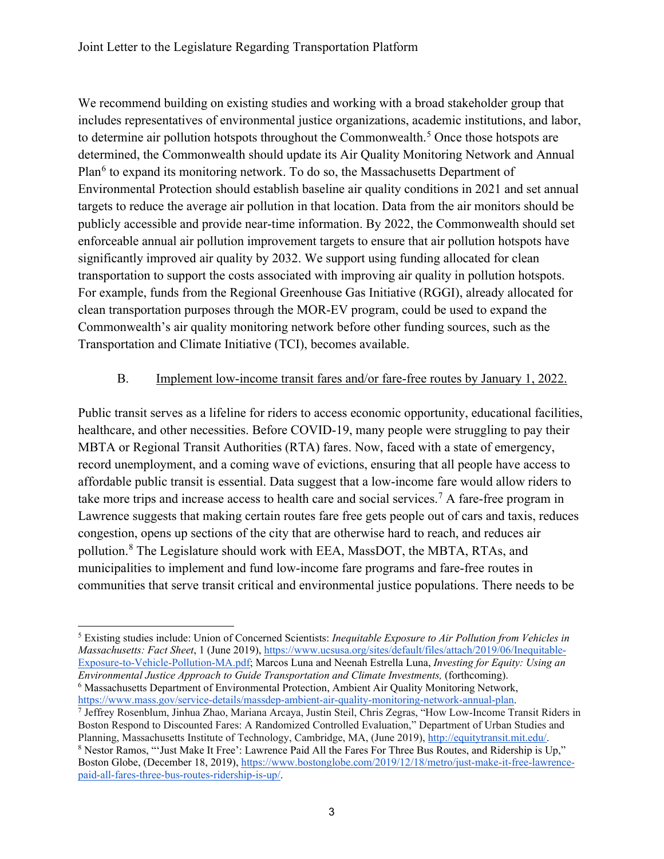We recommend building on existing studies and working with a broad stakeholder group that includes representatives of environmental justice organizations, academic institutions, and labor, to determine air pollution hotspots throughout the Commonwealth.<sup>[5](#page-2-0)</sup> Once those hotspots are determined, the Commonwealth should update its Air Quality Monitoring Network and Annual Plan<sup>[6](#page-2-1)</sup> to expand its monitoring network. To do so, the Massachusetts Department of Environmental Protection should establish baseline air quality conditions in 2021 and set annual targets to reduce the average air pollution in that location. Data from the air monitors should be publicly accessible and provide near-time information. By 2022, the Commonwealth should set enforceable annual air pollution improvement targets to ensure that air pollution hotspots have significantly improved air quality by 2032. We support using funding allocated for clean transportation to support the costs associated with improving air quality in pollution hotspots. For example, funds from the Regional Greenhouse Gas Initiative (RGGI), already allocated for clean transportation purposes through the MOR-EV program, could be used to expand the Commonwealth's air quality monitoring network before other funding sources, such as the Transportation and Climate Initiative (TCI), becomes available.

#### B. Implement low-income transit fares and/or fare-free routes by January 1, 2022.

Public transit serves as a lifeline for riders to access economic opportunity, educational facilities, healthcare, and other necessities. Before COVID-19, many people were struggling to pay their MBTA or Regional Transit Authorities (RTA) fares. Now, faced with a state of emergency, record unemployment, and a coming wave of evictions, ensuring that all people have access to affordable public transit is essential. Data suggest that a low-income fare would allow riders to take more trips and increase access to health care and social services.<sup>[7](#page-2-2)</sup> A fare-free program in Lawrence suggests that making certain routes fare free gets people out of cars and taxis, reduces congestion, opens up sections of the city that are otherwise hard to reach, and reduces air pollution.[8](#page-2-3) The Legislature should work with EEA, MassDOT, the MBTA, RTAs, and municipalities to implement and fund low-income fare programs and fare-free routes in communities that serve transit critical and environmental justice populations. There needs to be

<span id="page-2-2"></span><span id="page-2-1"></span>[https://www.mass.gov/service-details/massdep-ambient-air-quality-monitoring-network-annual-plan.](https://www.mass.gov/service-details/massdep-ambient-air-quality-monitoring-network-annual-plan)<br>7 Jeffrey Rosenblum, Jinhua Zhao, Mariana Arcaya, Justin Steil, Chris Zegras, "How Low-Income Transit Riders in Boston Respond to Discounted Fares: A Randomized Controlled Evaluation," Department of Urban Studies and Planning, Massachusetts Institute of Technology, Cambridge, MA, (June 2019)[, http://equitytransit.mit.edu/.](http://equitytransit.mit.edu/)

<span id="page-2-0"></span><sup>5</sup> Existing studies include: Union of Concerned Scientists: *Inequitable Exposure to Air Pollution from Vehicles in Massachusetts: Fact Sheet*, 1 (June 2019), [https://www.ucsusa.org/sites/default/files/attach/2019/06/Inequitable-](https://www.ucsusa.org/sites/default/files/attach/2019/06/Inequitable-Exposure-to-Vehicle-Pollution-MA.pdf)[Exposure-to-Vehicle-Pollution-MA.pdf;](https://www.ucsusa.org/sites/default/files/attach/2019/06/Inequitable-Exposure-to-Vehicle-Pollution-MA.pdf) Marcos Luna and Neenah Estrella Luna, *Investing for Equity: Using an*  <sup>6</sup> Massachusetts Department of Environmental Protection, Ambient Air Quality Monitoring Network,

<span id="page-2-3"></span><sup>8</sup> Nestor Ramos, "'Just Make It Free': Lawrence Paid All the Fares For Three Bus Routes, and Ridership is Up," Boston Globe, (December 18, 2019)[, https://www.bostonglobe.com/2019/12/18/metro/just-make-it-free-lawrence](https://www.bostonglobe.com/2019/12/18/metro/just-make-it-free-lawrence-paid-all-fares-three-bus-routes-ridership-is-up/)[paid-all-fares-three-bus-routes-ridership-is-up/.](https://www.bostonglobe.com/2019/12/18/metro/just-make-it-free-lawrence-paid-all-fares-three-bus-routes-ridership-is-up/)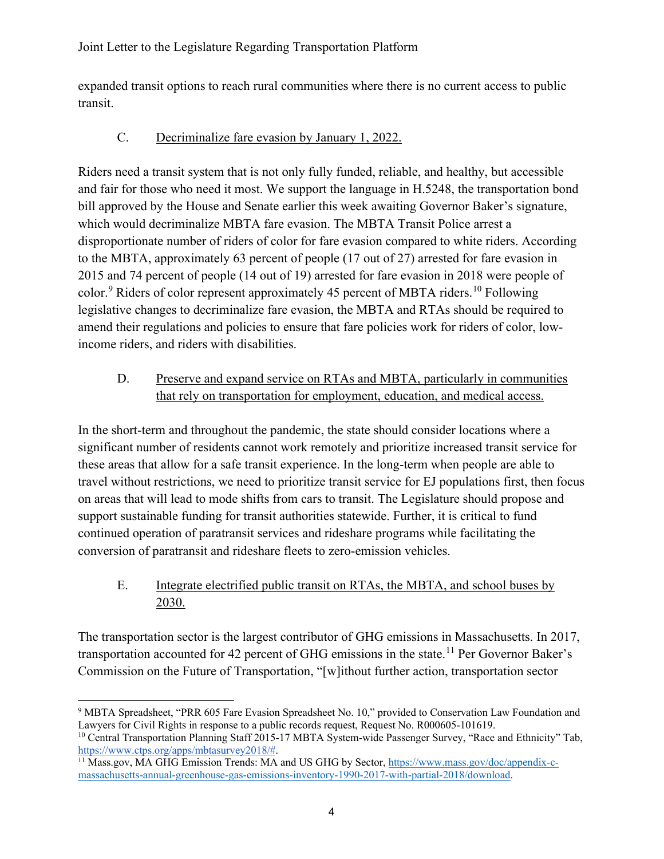expanded transit options to reach rural communities where there is no current access to public transit.

### C. Decriminalize fare evasion by January 1, 2022.

Riders need a transit system that is not only fully funded, reliable, and healthy, but accessible and fair for those who need it most. We support the language in H.5248, the transportation bond bill approved by the House and Senate earlier this week awaiting Governor Baker's signature, which would decriminalize MBTA fare evasion. The MBTA Transit Police arrest a disproportionate number of riders of color for fare evasion compared to white riders. According to the MBTA, approximately 63 percent of people (17 out of 27) arrested for fare evasion in 2015 and 74 percent of people (14 out of 19) arrested for fare evasion in 2018 were people of color.<sup>[9](#page-3-0)</sup> Riders of color represent approximately 45 percent of MBTA riders.<sup>[10](#page-3-1)</sup> Following legislative changes to decriminalize fare evasion, the MBTA and RTAs should be required to amend their regulations and policies to ensure that fare policies work for riders of color, lowincome riders, and riders with disabilities.

### D. Preserve and expand service on RTAs and MBTA, particularly in communities that rely on transportation for employment, education, and medical access.

In the short-term and throughout the pandemic, the state should consider locations where a significant number of residents cannot work remotely and prioritize increased transit service for these areas that allow for a safe transit experience. In the long-term when people are able to travel without restrictions, we need to prioritize transit service for EJ populations first, then focus on areas that will lead to mode shifts from cars to transit. The Legislature should propose and support sustainable funding for transit authorities statewide. Further, it is critical to fund continued operation of paratransit services and rideshare programs while facilitating the conversion of paratransit and rideshare fleets to zero-emission vehicles.

### E. Integrate electrified public transit on RTAs, the MBTA, and school buses by 2030.

The transportation sector is the largest contributor of GHG emissions in Massachusetts. In 2017, transportation accounted for 42 percent of GHG emissions in the state.<sup>[11](#page-3-2)</sup> Per Governor Baker's Commission on the Future of Transportation, "[w]ithout further action, transportation sector

<span id="page-3-0"></span><sup>9</sup> MBTA Spreadsheet, "PRR 605 Fare Evasion Spreadsheet No. 10," provided to Conservation Law Foundation and Lawyers for Civil Rights in response to a public records request, Request No. R000605-101619.

<span id="page-3-1"></span><sup>&</sup>lt;sup>10</sup> Central Transportation Planning Staff 2015-17 MBTA System-wide Passenger Survey, "Race and Ethnicity" Tab, https://www.ctps.org/apps/mbtasurvey2018/#.

<span id="page-3-2"></span><sup>&</sup>lt;sup>11</sup> Mass.gov, MA GHG Emission Trends: MA and US GHG by Secto[r,](https://www.mass.gov/doc/appendix-c-massachusetts-annual-greenhouse-gas-emissions-inventory-1990-2017-with-partial-2018/download) [https://www.mass.gov/doc/appendix-c](https://www.mass.gov/doc/appendix-c-massachusetts-annual-greenhouse-gas-emissions-inventory-1990-2017-with-partial-2018/download)[massachusetts-annual-greenhouse-gas-emissions-inventory-1990-2017-with-partial-2018/download.](https://www.mass.gov/doc/appendix-c-massachusetts-annual-greenhouse-gas-emissions-inventory-1990-2017-with-partial-2018/download)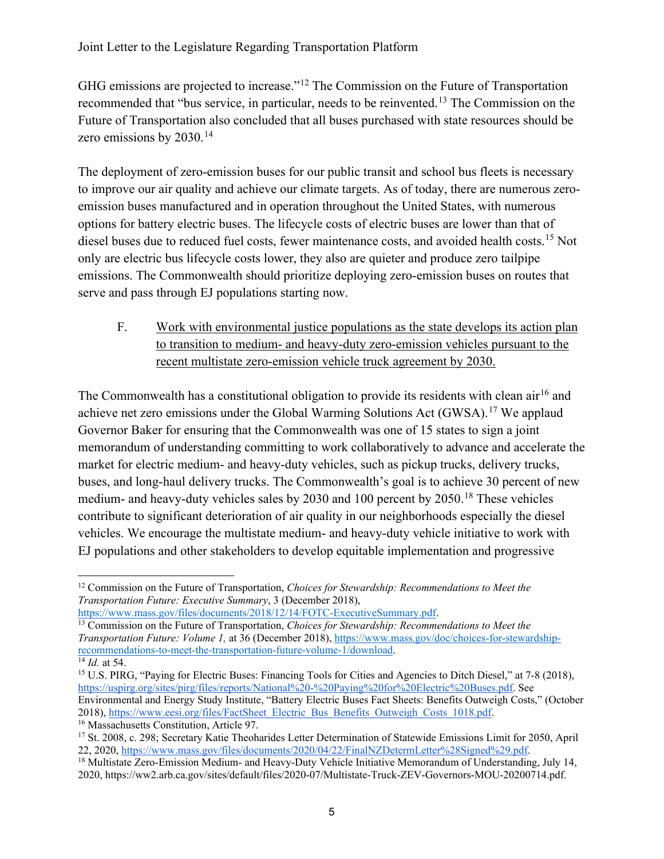GHG emissions are projected to increase."[12](#page-4-0) The Commission on the Future of Transportation recommended that "bus service, in particular, needs to be reinvented.<sup>[13](#page-4-1)</sup> The Commission on the Future of Transportation also concluded that all buses purchased with state resources should be zero emissions by 2030.<sup>[14](#page-4-2)</sup>

The deployment of zero-emission buses for our public transit and school bus fleets is necessary to improve our air quality and achieve our climate targets. As of today, there are numerous zeroemission buses manufactured and in operation throughout the United States, with numerous options for battery electric buses. The lifecycle costs of electric buses are lower than that of diesel buses due to reduced fuel costs, fewer maintenance costs, and avoided health costs.<sup>[15](#page-4-3)</sup> Not only are electric bus lifecycle costs lower, they also are quieter and produce zero tailpipe emissions. The Commonwealth should prioritize deploying zero-emission buses on routes that serve and pass through EJ populations starting now.

F. Work with environmental justice populations as the state develops its action plan to transition to medium- and heavy-duty zero-emission vehicles pursuant to the recent multistate zero-emission vehicle truck agreement by 2030.

The Commonwealth has a constitutional obligation to provide its residents with clean  $\sin^{16}$  $\sin^{16}$  $\sin^{16}$  and achieve net zero emissions under the Global Warming Solutions Act (GWSA).<sup>[17](#page-4-5)</sup> We applaud Governor Baker for ensuring that the Commonwealth was one of 15 states to sign a joint memorandum of understanding committing to work collaboratively to advance and accelerate the market for electric medium- and heavy-duty vehicles, such as pickup trucks, delivery trucks, buses, and long-haul delivery trucks. The Commonwealth's goal is to achieve 30 percent of new medium- and heavy-duty vehicles sales by 2030 and 100 percent by 2050.<sup>[18](#page-4-6)</sup> These vehicles contribute to significant deterioration of air quality in our neighborhoods especially the diesel vehicles. We encourage the multistate medium- and heavy-duty vehicle initiative to work with EJ populations and other stakeholders to develop equitable implementation and progressive

<span id="page-4-0"></span><sup>12</sup> Commission on the Future of Transportation, *Choices for Stewardship: Recommendations to Meet the Transportation Future: Executive Summary*, 3 (December 2018)[,](https://www.mass.gov/files/documents/2018/12/14/FOTC-ExecutiveSummary.pdf) [https://www.mass.gov/files/documents/2018/12/14/FOTC-ExecutiveSummary.pdf.](https://www.mass.gov/files/documents/2018/12/14/FOTC-ExecutiveSummary.pdf)

<span id="page-4-1"></span><sup>13</sup> Commission on the Future of Transportation, *Choices for Stewardship: Recommendations to Meet the Transportation Future: Volume 1,* at 36 (December 2018), [https://www.mass.gov/doc/choices-for-stewardship](https://www.mass.gov/doc/choices-for-stewardship-recommendations-to-meet-the-transportation-future-volume-1/download)[recommendations-to-meet-the-transportation-future-volume-1/download.](https://www.mass.gov/doc/choices-for-stewardship-recommendations-to-meet-the-transportation-future-volume-1/download) <sup>14</sup> *Id.* at 54.

<span id="page-4-3"></span><span id="page-4-2"></span><sup>&</sup>lt;sup>15</sup> U.S. PIRG[,](https://uspirg.org/sites/pirg/files/reports/National%20-%20Paying%20for%20Electric%20Buses.pdf) "Paying for Electric Buses: Financing Tools for Cities and Agencies to Ditch Diesel," at 7-8 (2018), [https://uspirg.org/sites/pirg/files/reports/National%20-%20Paying%20for%20Electric%20Buses.pdf.](https://uspirg.org/sites/pirg/files/reports/National%20-%20Paying%20for%20Electric%20Buses.pdf) See Environmental and Energy Study Institute, "Battery Electric Buses Fact Sheets: Benefits Outweigh Costs," (October 2018), https://www.eesi.org/files/FactSheet Electric Bus Benefits Outweigh Costs 1018.pdf.

<span id="page-4-5"></span><span id="page-4-4"></span><sup>&</sup>lt;sup>16</sup> Massachusetts Constitution, Article 97.<br><sup>17</sup> St. 2008, c. 298; Secretary Katie Theoharides Letter Determination of Statewide Emissions Limit for 2050, April<br>22, 2020, https://www.mass.gov/files/documents/2020/04/22/Fi

<span id="page-4-6"></span><sup>&</sup>lt;sup>18</sup> Multistate Zero-Emission Medium- and Heavy-Duty Vehicle Initiative Memorandum of Understanding, July 14, 2020, [https://ww2.arb.ca.gov/sites/default/files/2020-07/Multistate-Truck-ZEV-Governors-MOU-20200714.pd](https://ww2.arb.ca.gov/sites/default/files/2020-07/Multistate-Truck-ZEV-Governors-MOU-20200714.pdf)f.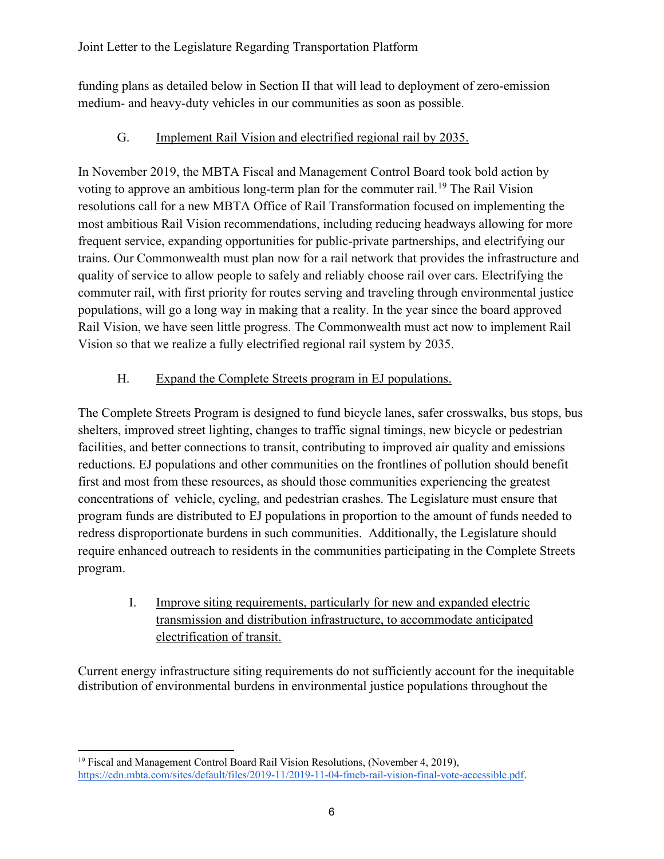funding plans as detailed below in Section II that will lead to deployment of zero-emission medium- and heavy-duty vehicles in our communities as soon as possible.

## G. Implement Rail Vision and electrified regional rail by 2035.

In November 2019, the MBTA Fiscal and Management Control Board took bold action by voting to approve an ambitious long-term plan for the commuter rail.<sup>[19](#page-5-0)</sup> The Rail Vision resolutions call for a new MBTA Office of Rail Transformation focused on implementing the most ambitious Rail Vision recommendations, including reducing headways allowing for more frequent service, expanding opportunities for public-private partnerships, and electrifying our trains. Our Commonwealth must plan now for a rail network that provides the infrastructure and quality of service to allow people to safely and reliably choose rail over cars. Electrifying the commuter rail, with first priority for routes serving and traveling through environmental justice populations, will go a long way in making that a reality. In the year since the board approved Rail Vision, we have seen little progress. The Commonwealth must act now to implement Rail Vision so that we realize a fully electrified regional rail system by 2035.

# H. Expand the Complete Streets program in EJ populations.

The Complete Streets Program is designed to fund bicycle lanes, safer crosswalks, bus stops, bus shelters, improved street lighting, changes to traffic signal timings, new bicycle or pedestrian facilities, and better connections to transit, contributing to improved air quality and emissions reductions. EJ populations and other communities on the frontlines of pollution should benefit first and most from these resources, as should those communities experiencing the greatest concentrations of vehicle, cycling, and pedestrian crashes. The Legislature must ensure that program funds are distributed to EJ populations in proportion to the amount of funds needed to redress disproportionate burdens in such communities. Additionally, the Legislature should require enhanced outreach to residents in the communities participating in the Complete Streets program.

I. Improve siting requirements, particularly for new and expanded electric transmission and distribution infrastructure, to accommodate anticipated electrification of transit.

Current energy infrastructure siting requirements do not sufficiently account for the inequitable distribution of environmental burdens in environmental justice populations throughout the

<span id="page-5-0"></span><sup>&</sup>lt;sup>19</sup> Fiscal and Management Control Board Rail Vision Resolutions, (November 4, 2019), [https://cdn.mbta.com/sites/default/files/2019-11/2019-11-04-fmcb-rail-vision-final-vote-accessible.pdf.](https://cdn.mbta.com/sites/default/files/2019-11/2019-11-04-fmcb-rail-vision-final-vote-accessible.pdf)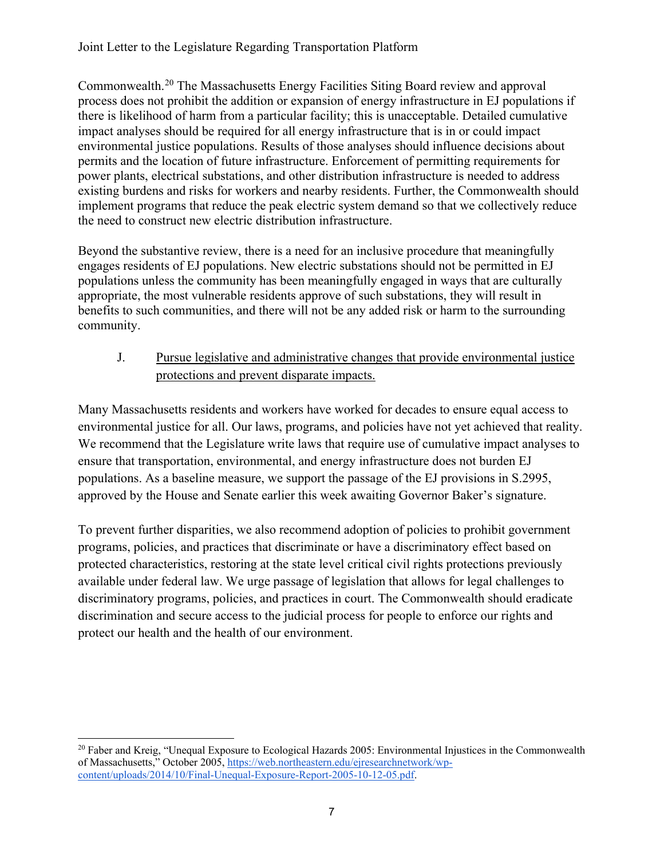Commonwealth.[20](#page-6-0) The Massachusetts Energy Facilities Siting Board review and approval process does not prohibit the addition or expansion of energy infrastructure in EJ populations if there is likelihood of harm from a particular facility; this is unacceptable. Detailed cumulative impact analyses should be required for all energy infrastructure that is in or could impact environmental justice populations. Results of those analyses should influence decisions about permits and the location of future infrastructure. Enforcement of permitting requirements for power plants, electrical substations, and other distribution infrastructure is needed to address existing burdens and risks for workers and nearby residents. Further, the Commonwealth should implement programs that reduce the peak electric system demand so that we collectively reduce the need to construct new electric distribution infrastructure.

Beyond the substantive review, there is a need for an inclusive procedure that meaningfully engages residents of EJ populations. New electric substations should not be permitted in EJ populations unless the community has been meaningfully engaged in ways that are culturally appropriate, the most vulnerable residents approve of such substations, they will result in benefits to such communities, and there will not be any added risk or harm to the surrounding community.

J. Pursue legislative and administrative changes that provide environmental justice protections and prevent disparate impacts.

Many Massachusetts residents and workers have worked for decades to ensure equal access to environmental justice for all. Our laws, programs, and policies have not yet achieved that reality. We recommend that the Legislature write laws that require use of cumulative impact analyses to ensure that transportation, environmental, and energy infrastructure does not burden EJ populations. As a baseline measure, we support the passage of the EJ provisions in S.2995, approved by the House and Senate earlier this week awaiting Governor Baker's signature.

To prevent further disparities, we also recommend adoption of policies to prohibit government programs, policies, and practices that discriminate or have a discriminatory effect based on protected characteristics, restoring at the state level critical civil rights protections previously available under federal law. We urge passage of legislation that allows for legal challenges to discriminatory programs, policies, and practices in court. The Commonwealth should eradicate discrimination and secure access to the judicial process for people to enforce our rights and protect our health and the health of our environment.

<span id="page-6-0"></span><sup>&</sup>lt;sup>20</sup> Faber and Kreig, "Unequal Exposure to Ecological Hazards 2005: Environmental Injustices in the Commonwealth of Massachusetts," October 2005[,](https://web.northeastern.edu/ejresearchnetwork/wp-content/uploads/2014/10/Final-Unequal-Exposure-Report-2005-10-12-05.pdf) [https://web.northeastern.edu/ejresearchnetwork/wp](https://web.northeastern.edu/ejresearchnetwork/wp-content/uploads/2014/10/Final-Unequal-Exposure-Report-2005-10-12-05.pdf)[content/uploads/2014/10/Final-Unequal-Exposure-Report-2005-10-12-05.pdf.](https://web.northeastern.edu/ejresearchnetwork/wp-content/uploads/2014/10/Final-Unequal-Exposure-Report-2005-10-12-05.pdf)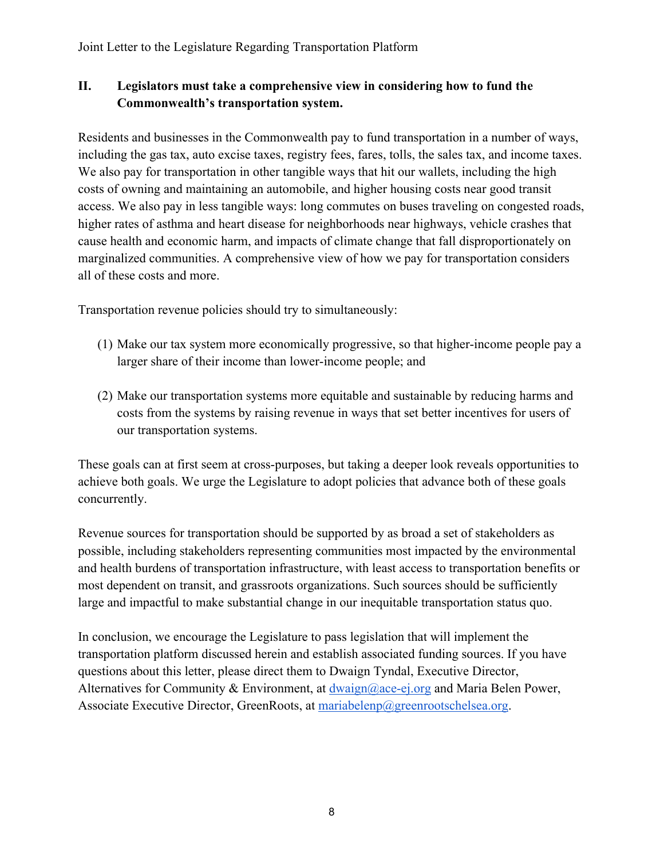### **II. Legislators must take a comprehensive view in considering how to fund the Commonwealth's transportation system.**

Residents and businesses in the Commonwealth pay to fund transportation in a number of ways, including the gas tax, auto excise taxes, registry fees, fares, tolls, the sales tax, and income taxes. We also pay for transportation in other tangible ways that hit our wallets, including the high costs of owning and maintaining an automobile, and higher housing costs near good transit access. We also pay in less tangible ways: long commutes on buses traveling on congested roads, higher rates of asthma and heart disease for neighborhoods near highways, vehicle crashes that cause health and economic harm, and impacts of climate change that fall disproportionately on marginalized communities. A comprehensive view of how we pay for transportation considers all of these costs and more.

Transportation revenue policies should try to simultaneously:

- (1) Make our tax system more economically progressive, so that higher-income people pay a larger share of their income than lower-income people; and
- (2) Make our transportation systems more equitable and sustainable by reducing harms and costs from the systems by raising revenue in ways that set better incentives for users of our transportation systems.

These goals can at first seem at cross-purposes, but taking a deeper look reveals opportunities to achieve both goals. We urge the Legislature to adopt policies that advance both of these goals concurrently.

Revenue sources for transportation should be supported by as broad a set of stakeholders as possible, including stakeholders representing communities most impacted by the environmental and health burdens of transportation infrastructure, with least access to transportation benefits or most dependent on transit, and grassroots organizations. Such sources should be sufficiently large and impactful to make substantial change in our inequitable transportation status quo.

In conclusion, we encourage the Legislature to pass legislation that will implement the transportation platform discussed herein and establish associated funding sources. If you have questions about this letter, please direct them to Dwaign Tyndal, Executive Director, Alternatives for Community & Environment, at  $d$ waign@ace-ej.org and Maria Belen Power, Associate Executive Director, GreenRoots, at [mariabelenp@greenrootschelsea.org.](mailto:mariabelenp@greenrootschelsea.org)